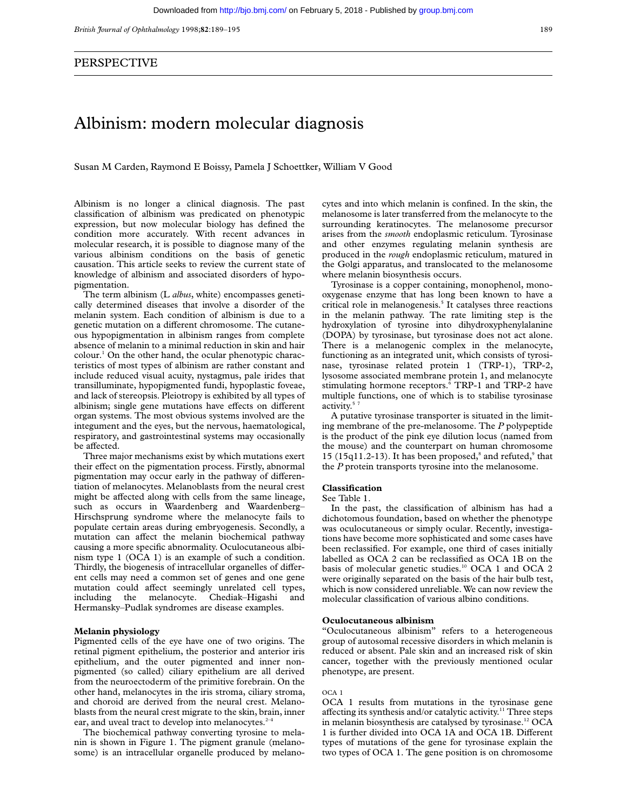*British Journal of Ophthalmology* 1998;**82**:189–195 189

## PERSPECTIVE

## Albinism: modern molecular diagnosis

Susan M Carden, Raymond E Boissy, Pamela J Schoettker, William V Good

Albinism is no longer a clinical diagnosis. The past classification of albinism was predicated on phenotypic expression, but now molecular biology has defined the condition more accurately. With recent advances in molecular research, it is possible to diagnose many of the various albinism conditions on the basis of genetic causation. This article seeks to review the current state of knowledge of albinism and associated disorders of hypopigmentation.

The term albinism (L *albus*, white) encompasses genetically determined diseases that involve a disorder of the melanin system. Each condition of albinism is due to a genetic mutation on a different chromosome. The cutaneous hypopigmentation in albinism ranges from complete absence of melanin to a minimal reduction in skin and hair colour.1 On the other hand, the ocular phenotypic characteristics of most types of albinism are rather constant and include reduced visual acuity, nystagmus, pale irides that transilluminate, hypopigmented fundi, hypoplastic foveae, and lack of stereopsis. Pleiotropy is exhibited by all types of albinism; single gene mutations have effects on different organ systems. The most obvious systems involved are the integument and the eyes, but the nervous, haematological, respiratory, and gastrointestinal systems may occasionally be affected.

Three major mechanisms exist by which mutations exert their effect on the pigmentation process. Firstly, abnormal pigmentation may occur early in the pathway of differentiation of melanocytes. Melanoblasts from the neural crest might be affected along with cells from the same lineage, such as occurs in Waardenberg and Waardenberg– Hirschsprung syndrome where the melanocyte fails to populate certain areas during embryogenesis. Secondly, a mutation can affect the melanin biochemical pathway causing a more specific abnormality. Oculocutaneous albinism type 1 (OCA 1) is an example of such a condition. Thirdly, the biogenesis of intracellular organelles of different cells may need a common set of genes and one gene mutation could affect seemingly unrelated cell types, including the melanocyte. Chediak–Higashi and Hermansky–Pudlak syndromes are disease examples.

#### **Melanin physiology**

Pigmented cells of the eye have one of two origins. The retinal pigment epithelium, the posterior and anterior iris epithelium, and the outer pigmented and inner nonpigmented (so called) ciliary epithelium are all derived from the neuroectoderm of the primitive forebrain. On the other hand, melanocytes in the iris stroma, ciliary stroma, and choroid are derived from the neural crest. Melanoblasts from the neural crest migrate to the skin, brain, inner ear, and uveal tract to develop into melanocytes.<sup>2-4</sup>

The biochemical pathway converting tyrosine to melanin is shown in Figure 1. The pigment granule (melanosome) is an intracellular organelle produced by melanocytes and into which melanin is confined. In the skin, the melanosome is later transferred from the melanocyte to the surrounding keratinocytes. The melanosome precursor arises from the *smooth* endoplasmic reticulum. Tyrosinase and other enzymes regulating melanin synthesis are produced in the *rough* endoplasmic reticulum, matured in the Golgi apparatus, and translocated to the melanosome where melanin biosynthesis occurs.

Tyrosinase is a copper containing, monophenol, monooxygenase enzyme that has long been known to have a critical role in melanogenesis.<sup>5</sup> It catalyses three reactions in the melanin pathway. The rate limiting step is the hydroxylation of tyrosine into dihydroxyphenylalanine (DOPA) by tyrosinase, but tyrosinase does not act alone. There is a melanogenic complex in the melanocyte, functioning as an integrated unit, which consists of tyrosinase, tyrosinase related protein 1 (TRP-1), TRP-2, lysosome associated membrane protein 1, and melanocyte stimulating hormone receptors.<sup>6</sup> TRP-1 and TRP-2 have multiple functions, one of which is to stabilise tyrosinase activity.<sup>5</sup>

A putative tyrosinase transporter is situated in the limiting membrane of the pre-melanosome. The *P* polypeptide is the product of the pink eye dilution locus (named from the mouse) and the counterpart on human chromosome 15 (15q11.2-13). It has been proposed, $^8$  and refuted, $^9$  that the *P* protein transports tyrosine into the melanosome.

## **Classification**

See Table 1.

In the past, the classification of albinism has had a dichotomous foundation, based on whether the phenotype was oculocutaneous or simply ocular. Recently, investigations have become more sophisticated and some cases have been reclassified. For example, one third of cases initially labelled as OCA 2 can be reclassified as OCA 1B on the basis of molecular genetic studies.<sup>10</sup> OCA 1 and OCA 2 were originally separated on the basis of the hair bulb test, which is now considered unreliable. We can now review the molecular classification of various albino conditions.

#### **Oculocutaneous albinism**

"Oculocutaneous albinism" refers to a heterogeneous group of autosomal recessive disorders in which melanin is reduced or absent. Pale skin and an increased risk of skin cancer, together with the previously mentioned ocular phenotype, are present.

## OCA 1

OCA 1 results from mutations in the tyrosinase gene affecting its synthesis and/or catalytic activity.<sup>11</sup> Three steps in melanin biosynthesis are catalysed by tyrosinase.12 OCA 1 is further divided into OCA 1A and OCA 1B. Different types of mutations of the gene for tyrosinase explain the two types of OCA 1. The gene position is on chromosome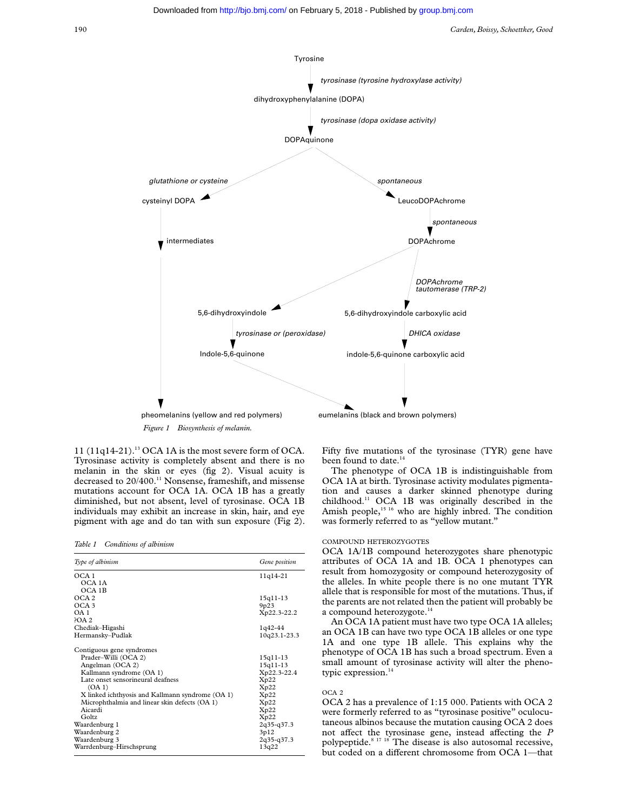

11 (11q14-21).13 OCA 1A is the most severe form of OCA. Tyrosinase activity is completely absent and there is no melanin in the skin or eyes (fig 2). Visual acuity is decreased to 20/400.<sup>11</sup> Nonsense, frameshift, and missense mutations account for OCA 1A. OCA 1B has a greatly diminished, but not absent, level of tyrosinase. OCA 1B individuals may exhibit an increase in skin, hair, and eye pigment with age and do tan with sun exposure (Fig 2).

#### *Table 1 Conditions of albinism*

| Type of albinism                                 | Gene position |
|--------------------------------------------------|---------------|
| OCA <sub>1</sub>                                 | 11q14-21      |
| OCA 1A                                           |               |
| $OCA$ 1 $B$                                      |               |
| OCA <sub>2</sub>                                 | 15q11-13      |
| OCA <sub>3</sub>                                 | 9p23          |
| OA 1                                             | Xp22.3-22.2   |
| 2OA <sub>2</sub>                                 |               |
| Chediak-Higashi                                  | $1q42 - 44$   |
| Hermansky-Pudlak                                 | 10q23.1-23.3  |
| Contiguous gene syndromes                        |               |
| Prader-Willi (OCA 2)                             | 15q11-13      |
| Angelman (OCA 2)                                 | 15q11-13      |
| Kallmann syndrome (OA 1)                         | Xp22.3-22.4   |
| Late onset sensorineural deafness                | Xp22          |
| (OA 1)                                           | Xp22          |
| X linked ichthyosis and Kallmann syndrome (OA 1) | Xp22          |
| Microphthalmia and linear skin defects (OA 1)    | Xp22          |
| Aicardi                                          | Xp22          |
| Goltz                                            | Xp22          |
| Waardenburg 1                                    | 2q35-q37.3    |
| Waardenburg 2                                    | 3p12          |
| Waardenburg 3                                    | 2q35-q37.3    |
| Warrdenburg-Hirschsprung                         | 13q22         |

Fifty five mutations of the tyrosinase (TYR) gene have been found to date.<sup>14</sup>

The phenotype of OCA 1B is indistinguishable from OCA 1A at birth. Tyrosinase activity modulates pigmentation and causes a darker skinned phenotype during childhood.11 OCA 1B was originally described in the Amish people,<sup>15 16</sup> who are highly inbred. The condition was formerly referred to as "yellow mutant."

#### COMPOUND HETEROZYGOTES

OCA 1A/1B compound heterozygotes share phenotypic attributes of OCA 1A and 1B. OCA 1 phenotypes can result from homozygosity or compound heterozygosity of the alleles. In white people there is no one mutant TYR allele that is responsible for most of the mutations. Thus, if the parents are not related then the patient will probably be a compound heterozygote.<sup>14</sup>

An OCA 1A patient must have two type OCA 1A alleles; an OCA 1B can have two type OCA 1B alleles or one type 1A and one type 1B allele. This explains why the phenotype of OCA 1B has such a broad spectrum. Even a small amount of tyrosinase activity will alter the phenotypic expression.<sup>14</sup>

## OCA 2

OCA 2 has a prevalence of 1:15 000. Patients with OCA 2 were formerly referred to as "tyrosinase positive" oculocutaneous albinos because the mutation causing OCA 2 does not affect the tyrosinase gene, instead affecting the *P* polypeptide.<sup>8 17 18</sup> The disease is also autosomal recessive, but coded on a different chromosome from OCA 1-that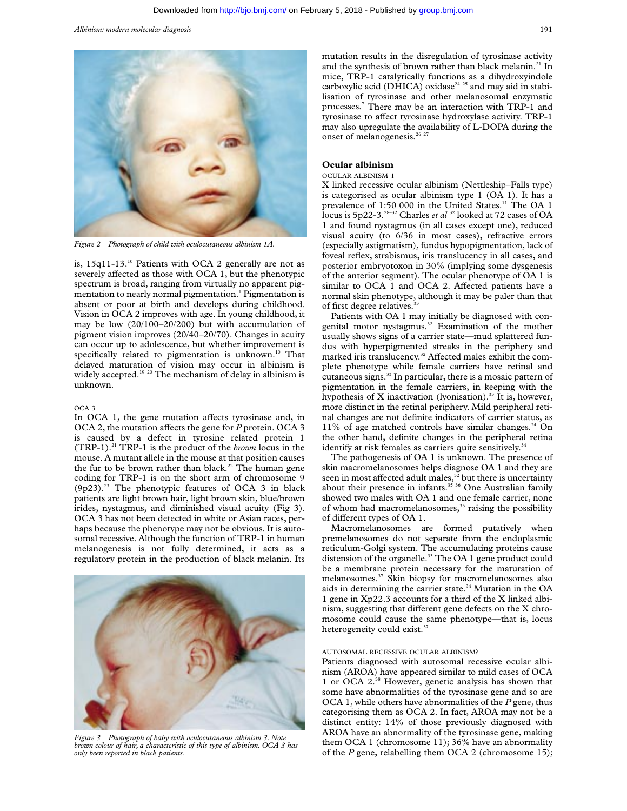*Albinism: modern molecular diagnosis* 191



*Figure 2 Photograph of child with oculocutaneous albinism 1A.*

is, 15q11-13.<sup>10</sup> Patients with OCA 2 generally are not as severely affected as those with OCA 1, but the phenotypic spectrum is broad, ranging from virtually no apparent pigmentation to nearly normal pigmentation.<sup>1</sup> Pigmentation is absent or poor at birth and develops during childhood. Vision in OCA 2 improves with age. In young childhood, it may be low (20/100–20/200) but with accumulation of pigment vision improves (20/40–20/70). Changes in acuity can occur up to adolescence, but whether improvement is specifically related to pigmentation is unknown.<sup>10</sup> That delayed maturation of vision may occur in albinism is widely accepted.<sup>19 20</sup> The mechanism of delay in albinism is unknown.

## OCA 3

In OCA 1, the gene mutation affects tyrosinase and, in OCA 2, the mutation affects the gene for *P* protein. OCA 3 is caused by a defect in tyrosine related protein 1 (TRP-1).21 TRP-1 is the product of the *brown* locus in the mouse. A mutant allele in the mouse at that position causes the fur to be brown rather than black.<sup>22</sup> The human gene coding for TRP-1 is on the short arm of chromosome 9  $(9p23).<sup>23</sup>$  The phenotypic features of OCA 3 in black patients are light brown hair, light brown skin, blue/brown irides, nystagmus, and diminished visual acuity (Fig 3). OCA 3 has not been detected in white or Asian races, perhaps because the phenotype may not be obvious. It is autosomal recessive. Although the function of TRP-1 in human melanogenesis is not fully determined, it acts as a regulatory protein in the production of black melanin. Its



*Figure 3 Photograph of baby with oculocutaneous albinism 3. Note brown colour of hair, a characteristic of this type of albinism. OCA 3 has only been reported in black patients.*

mutation results in the disregulation of tyrosinase activity and the synthesis of brown rather than black melanin.<sup>21</sup> In mice, TRP-1 catalytically functions as a dihydroxyindole carboxylic acid (DHICA) oxidase<sup>24 25</sup> and may aid in stabilisation of tyrosinase and other melanosomal enzymatic processes.7 There may be an interaction with TRP-1 and tyrosinase to affect tyrosinase hydroxylase activity. TRP-1 may also upregulate the availability of L-DOPA during the onset of melanogenesis.<sup>26</sup><sup>27</sup>

## **Ocular albinism**

## OCULAR ALBINISM 1

X linked recessive ocular albinism (Nettleship–Falls type) is categorised as ocular albinism type 1 (OA 1). It has a prevalence of 1:50 000 in the United States.<sup>11</sup> The OA 1 locus is 5p22-3.28–32 Charles *et al* <sup>32</sup> looked at 72 cases of OA 1 and found nystagmus (in all cases except one), reduced visual acuity (to 6/36 in most cases), refractive errors (especially astigmatism), fundus hypopigmentation, lack of foveal reflex, strabismus, iris translucency in all cases, and posterior embryotoxon in 30% (implying some dysgenesis of the anterior segment). The ocular phenotype of OA 1 is similar to OCA 1 and OCA 2. Affected patients have a normal skin phenotype, although it may be paler than that of first degree relatives.<sup>33</sup>

Patients with OA 1 may initially be diagnosed with congenital motor nystagmus.<sup>32</sup> Examination of the mother usually shows signs of a carrier state—mud splattered fundus with hyperpigmented streaks in the periphery and marked iris translucency.<sup>32</sup> Affected males exhibit the complete phenotype while female carriers have retinal and cutaneous signs.<sup>33</sup> In particular, there is a mosaic pattern of pigmentation in the female carriers, in keeping with the hypothesis of X inactivation (lyonisation).<sup>33</sup> It is, however, more distinct in the retinal periphery. Mild peripheral retinal changes are not definite indicators of carrier status, as  $11\%$  of age matched controls have similar changes.<sup>34</sup> On the other hand, definite changes in the peripheral retina identify at risk females as carriers quite sensitively.<sup>34</sup>

The pathogenesis of OA 1 is unknown. The presence of skin macromelanosomes helps diagnose OA 1 and they are seen in most affected adult males, $32$  but there is uncertainty about their presence in infants.<sup>35 36</sup> One Australian family showed two males with OA 1 and one female carrier, none of whom had macromelanosomes,<sup>36</sup> raising the possibility of different types of OA 1.

Macromelanosomes are formed putatively when premelanosomes do not separate from the endoplasmic reticulum-Golgi system. The accumulating proteins cause distension of the organelle.<sup>33</sup> The OA 1 gene product could be a membrane protein necessary for the maturation of melanosomes.37 Skin biopsy for macromelanosomes also aids in determining the carrier state.<sup>34</sup> Mutation in the OA 1 gene in Xp22.3 accounts for a third of the X linked albinism, suggesting that different gene defects on the X chromosome could cause the same phenotype—that is, locus heterogeneity could exist.<sup>37</sup>

## AUTOSOMAL RECESSIVE OCULAR ALBINISM?

Patients diagnosed with autosomal recessive ocular albinism (AROA) have appeared similar to mild cases of OCA 1 or OCA 2.38 However, genetic analysis has shown that some have abnormalities of the tyrosinase gene and so are OCA 1, while others have abnormalities of the *P* gene, thus categorising them as OCA 2. In fact, AROA may not be a distinct entity: 14% of those previously diagnosed with AROA have an abnormality of the tyrosinase gene, making them OCA 1 (chromosome 11); 36% have an abnormality of the *P* gene, relabelling them OCA 2 (chromosome 15);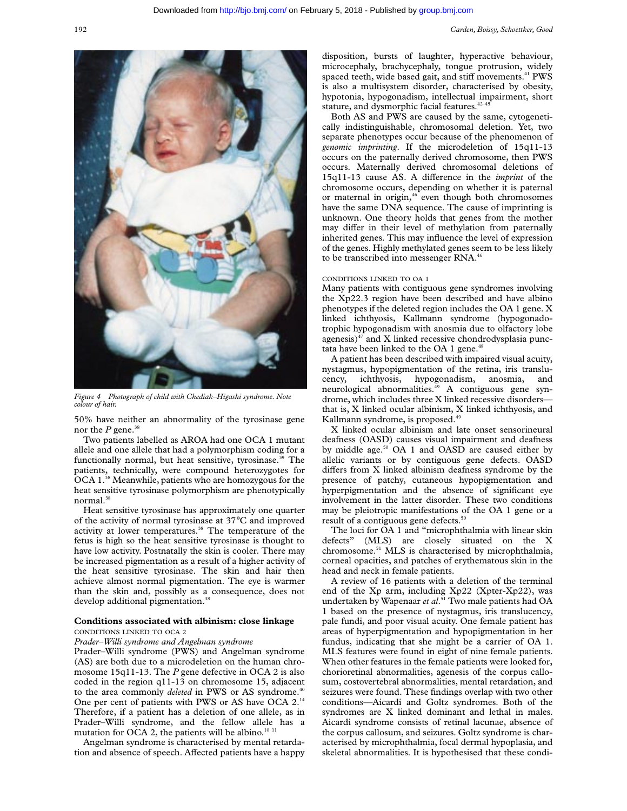

*Figure 4 Photograph of child with Chediak–Higashi syndrome. Note colour of hair.*

50% have neither an abnormality of the tyrosinase gene nor the *P* gene.<sup>38</sup>

Two patients labelled as AROA had one OCA 1 mutant allele and one allele that had a polymorphism coding for a functionally normal, but heat sensitive, tyrosinase.<sup>39</sup> The patients, technically, were compound heterozygotes for OCA 1.38 Meanwhile, patients who are homozygous for the heat sensitive tyrosinase polymorphism are phenotypically normal.<sup>38</sup>

Heat sensitive tyrosinase has approximately one quarter of the activity of normal tyrosinase at 37°C and improved activity at lower temperatures.<sup>38</sup> The temperature of the fetus is high so the heat sensitive tyrosinase is thought to have low activity. Postnatally the skin is cooler. There may be increased pigmentation as a result of a higher activity of the heat sensitive tyrosinase. The skin and hair then achieve almost normal pigmentation. The eye is warmer than the skin and, possibly as a consequence, does not develop additional pigmentation.<sup>38</sup>

## **Conditions associated with albinism: close linkage**

CONDITIONS LINKED TO OCA 2

*Prader–Willi syndrome and Angelman syndrome*

Prader–Willi syndrome (PWS) and Angelman syndrome (AS) are both due to a microdeletion on the human chromosome 15q11-13. The *P* gene defective in OCA 2 is also coded in the region q11-13 on chromosome 15, adjacent to the area commonly *deleted* in PWS or AS syndrome.<sup>4</sup> One per cent of patients with PWS or AS have OCA 2.<sup>14</sup> Therefore, if a patient has a deletion of one allele, as in Prader–Willi syndrome, and the fellow allele has a mutation for OCA 2, the patients will be albino.<sup>10 11</sup>

Angelman syndrome is characterised by mental retardation and absence of speech. Affected patients have a happy disposition, bursts of laughter, hyperactive behaviour, microcephaly, brachycephaly, tongue protrusion, widely spaced teeth, wide based gait, and stiff movements.<sup>41</sup> PWS is also a multisystem disorder, characterised by obesity, hypotonia, hypogonadism, intellectual impairment, short stature, and dysmorphic facial features.<sup>42-45</sup>

Both AS and PWS are caused by the same, cytogenetically indistinguishable, chromosomal deletion. Yet, two separate phenotypes occur because of the phenomenon of *genomic imprinting*. If the microdeletion of 15q11-13 occurs on the paternally derived chromosome, then PWS occurs. Maternally derived chromosomal deletions of 15q11-13 cause AS. A difference in the *imprint* of the chromosome occurs, depending on whether it is paternal or maternal in origin, $46$  even though both chromosomes have the same DNA sequence. The cause of imprinting is unknown. One theory holds that genes from the mother may differ in their level of methylation from paternally inherited genes. This may influence the level of expression of the genes. Highly methylated genes seem to be less likely to be transcribed into messenger RNA.<sup>46</sup>

## CONDITIONS LINKED TO OA 1

Many patients with contiguous gene syndromes involving the Xp22.3 region have been described and have albino phenotypes if the deleted region includes the OA 1 gene. X linked ichthyosis, Kallmann syndrome (hypogonadotrophic hypogonadism with anosmia due to olfactory lobe agenesis) $47$  and X linked recessive chondrodysplasia punctata have been linked to the OA 1 gene. $48$ 

A patient has been described with impaired visual acuity, nystagmus, hypopigmentation of the retina, iris translucency, ichthyosis, hypogonadism, anosmia, and neurological abnormalities.<sup>49</sup> A contiguous gene syndrome, which includes three X linked recessive disorders that is, X linked ocular albinism, X linked ichthyosis, and Kallmann syndrome, is proposed.<sup>49</sup>

X linked ocular albinism and late onset sensorineural deafness (OASD) causes visual impairment and deafness by middle age.<sup>50</sup> OA 1 and OASD are caused either by allelic variants or by contiguous gene defects. OASD differs from  $X$  linked albinism deafness syndrome by the presence of patchy, cutaneous hypopigmentation and hyperpigmentation and the absence of significant eye involvement in the latter disorder. These two conditions may be pleiotropic manifestations of the OA 1 gene or a result of a contiguous gene defects.<sup>50</sup>

The loci for OA 1 and "microphthalmia with linear skin defects" (MLS) are closely situated on the X chromosome.<sup>51</sup> MLS is characterised by microphthalmia, corneal opacities, and patches of erythematous skin in the head and neck in female patients.

A review of 16 patients with a deletion of the terminal end of the Xp arm, including Xp22 (Xpter-Xp22), was undertaken by Wapenaar *et al*. <sup>51</sup> Two male patients had OA 1 based on the presence of nystagmus, iris translucency, pale fundi, and poor visual acuity. One female patient has areas of hyperpigmentation and hypopigmentation in her fundus, indicating that she might be a carrier of OA 1. MLS features were found in eight of nine female patients. When other features in the female patients were looked for, chorioretinal abnormalities, agenesis of the corpus callosum, costovertebral abnormalities, mental retardation, and seizures were found. These findings overlap with two other conditions—Aicardi and Goltz syndromes. Both of the syndromes are X linked dominant and lethal in males. Aicardi syndrome consists of retinal lacunae, absence of the corpus callosum, and seizures. Goltz syndrome is characterised by microphthalmia, focal dermal hypoplasia, and skeletal abnormalities. It is hypothesised that these condi-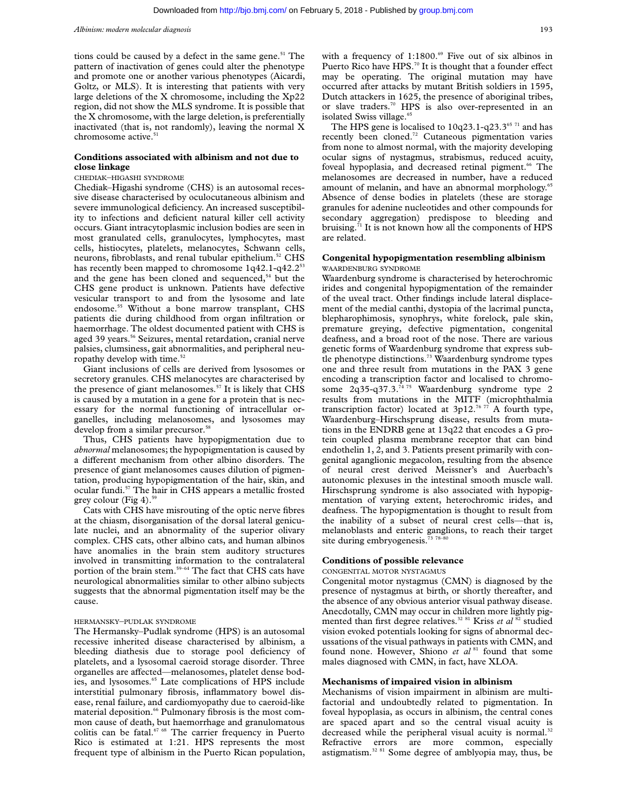tions could be caused by a defect in the same gene.<sup>51</sup> The pattern of inactivation of genes could alter the phenotype and promote one or another various phenotypes (Aicardi, Goltz, or MLS). It is interesting that patients with very large deletions of the X chromosome, including the Xp22 region, did not show the MLS syndrome. It is possible that the X chromosome, with the large deletion, is preferentially inactivated (that is, not randomly), leaving the normal X chromosome active.<sup>51</sup>

## **Conditions associated with albinism and not due to close linkage**

## CHEDIAK–HIGASHI SYNDROME

Chediak–Higashi syndrome (CHS) is an autosomal recessive disease characterised by oculocutaneous albinism and severe immunological deficiency. An increased susceptibility to infections and deficient natural killer cell activity occurs. Giant intracytoplasmic inclusion bodies are seen in most granulated cells, granulocytes, lymphocytes, mast cells, histiocytes, platelets, melanocytes, Schwann cells, neurons, fibroblasts, and renal tubular epithelium.<sup>52</sup> CHS has recently been mapped to chromosome 1q42.1-q42.2<sup>53</sup> and the gene has been cloned and sequenced, $54$  but the CHS gene product is unknown. Patients have defective vesicular transport to and from the lysosome and late endosome.<sup>55</sup> Without a bone marrow transplant, CHS patients die during childhood from organ infiltration or haemorrhage. The oldest documented patient with CHS is aged 39 years.<sup>56</sup> Seizures, mental retardation, cranial nerve palsies, clumsiness, gait abnormalities, and peripheral neuropathy develop with time.<sup>52</sup>

Giant inclusions of cells are derived from lysosomes or secretory granules. CHS melanocytes are characterised by the presence of giant melanosomes.<sup>57</sup> It is likely that CHS is caused by a mutation in a gene for a protein that is necessary for the normal functioning of intracellular organelles, including melanosomes, and lysosomes may develop from a similar precursor.<sup>58</sup>

Thus, CHS patients have hypopigmentation due to *abnormal* melanosomes; the hypopigmentation is caused by a different mechanism from other albino disorders. The presence of giant melanosomes causes dilution of pigmentation, producing hypopigmentation of the hair, skin, and ocular fundi.57 The hair in CHS appears a metallic frosted grey colour (Fig 4).<sup>59</sup>

Cats with CHS have misrouting of the optic nerve fibres at the chiasm, disorganisation of the dorsal lateral geniculate nuclei, and an abnormality of the superior olivary complex. CHS cats, other albino cats, and human albinos have anomalies in the brain stem auditory structures involved in transmitting information to the contralateral portion of the brain stem.<sup>59-64</sup> The fact that CHS cats have neurological abnormalities similar to other albino subjects suggests that the abnormal pigmentation itself may be the cause.

#### HERMANSKY–PUDLAK SYNDROME

The Hermansky–Pudlak syndrome (HPS) is an autosomal recessive inherited disease characterised by albinism, a bleeding diathesis due to storage pool deficiency of platelets, and a lysosomal caeroid storage disorder. Three organelles are affected—melanosomes, platelet dense bodies, and lysosomes.<sup>65</sup> Late complications of HPS include interstitial pulmonary fibrosis, inflammatory bowel disease, renal failure, and cardiomyopathy due to caeroid-like material deposition.<sup>66</sup> Pulmonary fibrosis is the most common cause of death, but haemorrhage and granulomatous colitis can be fatal.<sup>67 68</sup> The carrier frequency in Puerto Rico is estimated at 1:21. HPS represents the most frequent type of albinism in the Puerto Rican population,

with a frequency of  $1:1800.^{69}$  Five out of six albinos in Puerto Rico have  $HPS$ .<sup>70</sup> It is thought that a founder effect may be operating. The original mutation may have occurred after attacks by mutant British soldiers in 1595, Dutch attackers in 1625, the presence of aboriginal tribes, or slave traders.70 HPS is also over-represented in an isolated Swiss village.<sup>65</sup>

The HPS gene is localised to  $10q23.1-q23.3^{65}$ <sup>71</sup> and has recently been cloned.<sup>72</sup> Cutaneous pigmentation varies from none to almost normal, with the majority developing ocular signs of nystagmus, strabismus, reduced acuity, foveal hypoplasia, and decreased retinal pigment.<sup>66</sup> The melanosomes are decreased in number, have a reduced amount of melanin, and have an abnormal morphology.<sup>65</sup> Absence of dense bodies in platelets (these are storage granules for adenine nucleotides and other compounds for secondary aggregation) predispose to bleeding and bruising.<sup>71</sup> It is not known how all the components of HPS are related.

## **Congenital hypopigmentation resembling albinism** WAARDENBURG SYNDROME

Waardenburg syndrome is characterised by heterochromic irides and congenital hypopigmentation of the remainder of the uveal tract. Other findings include lateral displacement of the medial canthi, dystopia of the lacrimal puncta, blepharophimosis, synophrys, white forelock, pale skin, premature greying, defective pigmentation, congenital deafness, and a broad root of the nose. There are various genetic forms of Waardenburg syndrome that express subtle phenotype distinctions.<sup>73</sup> Waardenburg syndrome types one and three result from mutations in the PAX 3 gene encoding a transcription factor and localised to chromosome 2q35-q37.3.<sup>74 75</sup> Waardenburg syndrome type 2 results from mutations in the MITF (microphthalmia transcription factor) located at  $3p12.^{76}$   $\overrightarrow{77}$  A fourth type, Waardenburg–Hirschsprung disease, results from mutations in the ENDRB gene at 13q22 that encodes a G protein coupled plasma membrane receptor that can bind endothelin 1, 2, and 3. Patients present primarily with congenital aganglionic megacolon, resulting from the absence of neural crest derived Meissner's and Auerbach's autonomic plexuses in the intestinal smooth muscle wall. Hirschsprung syndrome is also associated with hypopigmentation of varying extent, heterochromic irides, and deafness. The hypopigmentation is thought to result from the inability of a subset of neural crest cells—that is, melanoblasts and enteric ganglions, to reach their target site during embryogenesis.7

#### **Conditions of possible relevance**

#### CONGENITAL MOTOR NYSTAGMUS

Congenital motor nystagmus (CMN) is diagnosed by the presence of nystagmus at birth, or shortly thereafter, and the absence of any obvious anterior visual pathway disease. Anecdotally, CMN may occur in children more lightly pigmented than first degree relatives.<sup>32 81</sup> Kriss *et al* <sup>82</sup> studied vision evoked potentials looking for signs of abnormal decussations of the visual pathways in patients with CMN, and found none. However, Shiono *et al* <sup>81</sup> found that some males diagnosed with CMN, in fact, have XLOA.

## **Mechanisms of impaired vision in albinism**

Mechanisms of vision impairment in albinism are multifactorial and undoubtedly related to pigmentation. In foveal hypoplasia, as occurs in albinism, the central cones are spaced apart and so the central visual acuity is decreased while the peripheral visual acuity is normal.<sup>32</sup> Refractive errors are more common, especially astigmatism.32 81 Some degree of amblyopia may, thus, be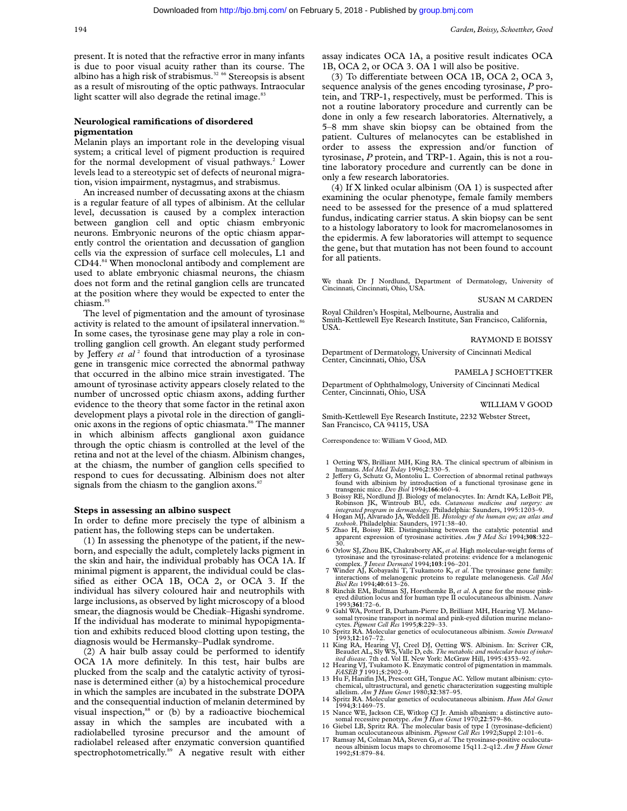present. It is noted that the refractive error in many infants is due to poor visual acuity rather than its course. The albino has a high risk of strabismus.<sup>32 66</sup> Stereopsis is absent as a result of misrouting of the optic pathways. Intraocular light scatter will also degrade the retinal image.<sup>83</sup>

## **Neurological ramifications of disordered pigmentation**

Melanin plays an important role in the developing visual system; a critical level of pigment production is required for the normal development of visual pathways.<sup>2</sup> Lower levels lead to a stereotypic set of defects of neuronal migration, vision impairment, nystagmus, and strabismus.

An increased number of decussating axons at the chiasm is a regular feature of all types of albinism. At the cellular level, decussation is caused by a complex interaction between ganglion cell and optic chiasm embryonic neurons. Embryonic neurons of the optic chiasm apparently control the orientation and decussation of ganglion cells via the expression of surface cell molecules, L1 and CD44.84 When monoclonal antibody and complement are used to ablate embryonic chiasmal neurons, the chiasm does not form and the retinal ganglion cells are truncated at the position where they would be expected to enter the chiasm.<sup>8</sup>

The level of pigmentation and the amount of tyrosinase activity is related to the amount of ipsilateral innervation.<sup>86</sup> In some cases, the tyrosinase gene may play a role in controlling ganglion cell growth. An elegant study performed by Jeffery *et al*<sup>2</sup> found that introduction of a tyrosinase gene in transgenic mice corrected the abnormal pathway that occurred in the albino mice strain investigated. The amount of tyrosinase activity appears closely related to the number of uncrossed optic chiasm axons, adding further evidence to the theory that some factor in the retinal axon development plays a pivotal role in the direction of ganglionic axons in the regions of optic chiasmata.<sup>86</sup> The manner in which albinism affects ganglional axon guidance through the optic chiasm is controlled at the level of the retina and not at the level of the chiasm. Albinism changes, at the chiasm, the number of ganglion cells specified to respond to cues for decussating. Albinism does not alter signals from the chiasm to the ganglion axons.<sup>87</sup>

#### **Steps in assessing an albino suspect**

In order to define more precisely the type of albinism a patient has, the following steps can be undertaken.

(1) In assessing the phenotype of the patient, if the newborn, and especially the adult, completely lacks pigment in the skin and hair, the individual probably has OCA 1A. If minimal pigment is apparent, the individual could be classified as either OCA 1B, OCA 2, or OCA 3. If the individual has silvery coloured hair and neutrophils with large inclusions, as observed by light microscopy of a blood smear, the diagnosis would be Chediak–Higashi syndrome. If the individual has moderate to minimal hypopigmentation and exhibits reduced blood clotting upon testing, the diagnosis would be Hermansky–Pudlak syndrome.

(2) A hair bulb assay could be performed to identify OCA 1A more definitely. In this test, hair bulbs are plucked from the scalp and the catalytic activity of tyrosinase is determined either (a) by a histochemical procedure in which the samples are incubated in the substrate DOPA and the consequential induction of melanin determined by visual inspection,<sup>88</sup> or (b) by a radioactive biochemical assay in which the samples are incubated with a radiolabelled tyrosine precursor and the amount of radiolabel released after enzymatic conversion quantified spectrophotometrically.<sup>89</sup> A negative result with either

assay indicates OCA 1A, a positive result indicates OCA 1B, OCA 2, or OCA 3. OA 1 will also be positive.

(3) To differentiate between OCA 1B, OCA 2, OCA 3, sequence analysis of the genes encoding tyrosinase, *P* protein, and TRP-1, respectively, must be performed. This is not a routine laboratory procedure and currently can be done in only a few research laboratories. Alternatively, a 5–8 mm shave skin biopsy can be obtained from the patient. Cultures of melanocytes can be established in order to assess the expression and/or function of tyrosinase, *P* protein, and TRP-1. Again, this is not a routine laboratory procedure and currently can be done in only a few research laboratories.

(4) If X linked ocular albinism (OA 1) is suspected after examining the ocular phenotype, female family members need to be assessed for the presence of a mud splattered fundus, indicating carrier status. A skin biopsy can be sent to a histology laboratory to look for macromelanosomes in the epidermis. A few laboratories will attempt to sequence the gene, but that mutation has not been found to account for all patients.

We thank Dr J Nordlund, Department of Dermatology, University of Cincinnati, Cincinnati, Ohio, USA.

#### SUSAN M CARDEN

Royal Children's Hospital, Melbourne, Australia and Smith-Kettlewell Eye Research Institute, San Francisco, California, USA.

RAYMOND E BOISSY

Department of Dermatology, University of Cincinnati Medical Center, Cincinnati, Ohio, USA

## PAMELA J SCHOETTKER

Department of Ophthalmology, University of Cincinnati Medical Center, Cincinnati, Ohio, USA

#### WILLIAM V GOOD

Smith-Kettlewell Eye Research Institute, 2232 Webster Street, San Francisco, CA 94115, USA

Correspondence to: William V Good, MD.

- 1 Oetting WS, Brilliant MH, King RA. The clinical spectrum of albinism in humans. *Mol Med Today* 1996;**2**:330–5.
- 2 Jeffery G, Schutz G, Montoliu L. Correction of abnormal retinal pathways found with albinism by introduction of a functional tyrosinase gene in transgenic mice. *Dev Biol* 1994;**166**:460–4.
- 3 Boissy RE, Nordlund JJ. Biology of melanocytes. In: Arndt KA, LeBoit PE, Robinson JK, Wintroub BU, eds. *Cutaneous medicine and surgery: an*
- *integrated program in dermatology*. Philadelphia: Saunders, 1995:1203–9. 4 Hogan MJ, Alvarado JA, Weddell JE. *Histology of the human eye; an atlas and texbook*. Philadelphia: Saunders, 1971:38–40.
- 5 Zhao H, Boissy RE. Distinguishing between the catalytic potential and apparent expression of tyrosinase activities. *Am J Med Sci* 1994;308:322–30.<br>apparent expression of tyrosinase activities. *Am J Med Sci* 1994;308:322–
- 6 Orlow SJ, Zhou BK, Chakraborty AK, *et al.* High molecular-weight forms of tyrosinase and the tyrosinase-related proteins: evidence for a melanogenic complex. *J* Invest Dermatol 1994;103:196-201.<br>Twinder AJ, Kobayashi
- interactions of melanogenic proteins to regulate melanogenesis. *Cell Mol*<br>*Biol Res* 1994;**40**:613–26.<br>8 Rinchik EM, Bultman SJ, Horsthemke B, *et al*. A gene for the mouse pink-
- eyed dilution locus and for human type II oculocutaneous albinism. *Nature* 1993;**361**:72–6.
- 9 Gahl WA, Potterf B, Durham-Pierre D, Brilliant MH, Hearing VJ. Melanosomal tyrosine transport in normal and pink-eyed dilution murine melano-cytes. *Pigment Cell Res* 1995;**8**:229–33.
- 10 Spritz RA. Molecular genetics of oculocutaneous albinism. *Semin Dermatol* 1993;**12**:167–72.
- 11 King RA, Hearing VJ, Creel DJ, Oetting WS. Albinism. In: Scriver CR, Beaudet AL, Sly WS, Valle D, eds. The metabolic and molecular bases of inherical disease. 7th ed. Vol II. New York: McGraw Hill, 1995:4353-92.<br>ited di
- *FASEB 3* 1991;5:2902–9.<br>13 Hu F, Hanifin JM, Prescott GH, Tongue AC. Yellow mutant albinism: cyto-
- 13 Hu F, Hanifin JM, Prescott GH, Tongue AC. Yellow mutant albinism: cyto-chemical, ultrastructural, and genetic characterization suggesting multiple allelism. *Am J Hum Genet* 1980;32:387–95.<br>Applies Applies RA. Molecular
- 
- 15 Nance WE, Jackson CE, Witkop CJ Jr. Amish albanism: a distinctive auto-somal recessive penotype.  $Am \mathcal{J} Hum Genet$  1970;22:579–86.<br>16 Giebel LB, Spritz RA. The molecular basis of type I (tyrosinase-deficient) human oculocut
- 
- 17 Ramsay M, Colman MA, Steven G,*et al*. The tyrosinase-positive oculocuta-neous albinism locus maps to chromosome 15q11.2-q12. *Am J Hum Genet* 1992;**51**:879–84.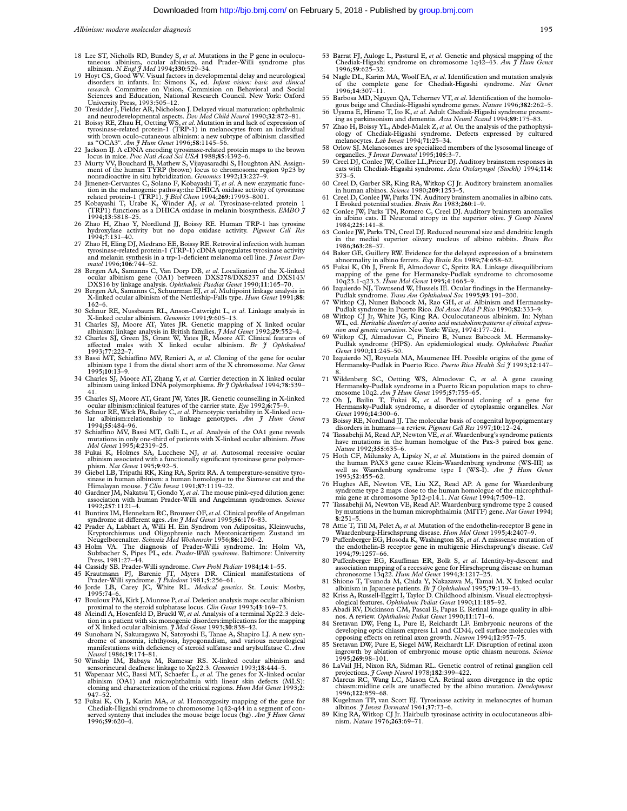*Albinism: modern molecular diagnosis* 195

- 18 Lee ST, Nicholls RD, Bundey S, *et al*. Mutations in the P gene in oculocu-taneous albinism, ocular albinism, and Prader-Willi syndrome plus
- albinism. *N Engl J Med* 1994;330:529-34.<br>19 Hoyt CS, Good WV. Visual factors in developmental delay and neurological<br>disorders in infants. In: Simons K, ed. *Infant vision: basic and clinical*<br>research. Committee on Visio Sciences and Education, National Research Council. New York: Oxford<br>University Press, 1993:505–12.<br>20 Tresidder J, Fielder AR, Nicholson J. Delayed visual maturation: ophthalmic
- 
- and neurodevelopmental aspects. Dev Med Child Neurol 1990;32:872-81.<br>21 Boissy RE, Zhau H, Oetting WS, et al. Mutation in and lack of expression of tyosinase-related protein-1 (TRP-1) in melanocytes from an individual with
- as "OCA3". Am J Hum Genet 1996;58:1145–56.<br>22 Jackson IJ. A cDNA encoding tyrosinase-related protein maps to the brown<br>locus in mice. Proc Natl Acad Sci USA 1988;85:4392–6.<br>23 Murty VV, Bouchard B, Mathew S, Vijayasaradhi
- ment of the human TYRP (brown) locus to chromosome region 9p23 by nonradioactive in situ hybridization. *Genomics* 1992;**13**:227–9. 24 Jimenez-Cervantes C, Solano F, Kobayashi T, *et al*. A new enzymatic func-
- tion in the melanogenic pathway:the DHICA oxidase activity of tyrosinase<br>related protein-1 (TRP1). *J Biol Chem* 1994;**269**:17993–8001.<br>Z5 Kobayashi T, Urabe K, Winder AJ, *et al.* Tyrosinase-related protein 1
- (TRP1) functions as a DHICA oxidase in melanin biosynthesis. *EMBO J* 1994;**13**:5818–25.
- 26 Zhao H, Zhao Y, Nordlund JJ, Boissy RE. Human TRP-1 has tyrosine hydroxylase activity but no dopa oxidase activity. *Pigment Cell Res* 1994;**7**:131–40.
- 27 Zhao H, Eling DJ, Medrano EE, Boissy RE. Retroviral infection with human<br>tyrosinase-related protein-1 (TRP-1) cDNA upregulates tyrosinase activity<br>and melanin synthesis in a trp-1-deficient melanoma cell line. *J Invest matol* 1996;**106**:744–52.
- 28 Bergen AA, Samanns C, Van Dorp DB, *et al*. Localization of the X-linked ocular albinism gene (OA1) between DXS278/DXS237 and DXS143/ DXS16 by linkage analysis. *Ophthalmic Paediat Genet* 1990;**11**:165–70.
- 29 Bergen AA, Samanns C, Schuurman EJ, *et al*. Multipoint linkage analysis in X-linked ocular albinism of the Nettleship-Falls type. *Hum Genet* 1991;**88**:  $162–6$
- 30 Schnur RE, Nussbaum RL, Anson-Catwright L, *et al*. Linkage analysis in
- 
- X-linked ocular albinism. *Genomics* 1991;9:605-13.<br>31 Charles SJ, Moore AT, Yates JR. Genetic mapping of X linked ocular<br>albinism: linkage analysis in British families. *3 Med Genet* 1992;29:552-4.<br>32 Charles SJ, Green JS
- affected males with X linked ocular albinism. *Br J Ophthalmol* 1993;77:222-7.
- 1993;77:222–7.<br>33 Bassi MT, Schiaffino MV, Renieri A, *et al*. Cloning of the gene for ocular<br>albinism type 1 from the distal short arm of the X chromosome. *Nat Genet*<br>1995;10:13–9.
- 34 Charles SJ, Moore AT, Zhang Y, *et al*. Carrier detection in X linked ocular albinism using linked DNA polymorphisms. *Br J Ophthalmol* 1994;**78**:539– 41. 35 Charles SJ, Moore AT, Grant JW, Yates JR. Genetic counselling in X-linked
- ocular albinism:clinical features of the carrier state. *Eye* 1992;**6**:75–9.
- 36 Schnur RE, Wick PA, Bailey C,*et al*. Phenotypic variability in X-linked ocu-lar albinism:relationship to linkage genotypes. *Am J Hum Genet* 1994;**55**:484–96. 37 SchiaYno MV, Bassi MT, Galli L, *et al*. Analysis of the OA1 gene reveals
- mutations in only one-third of patients with X-linked ocular albinism. *Hum Mol Genet* 1995;**4**:2319–25.
- 38 Fukai K, Holmes SA, Lucchese NJ, *et al*. Autosomal recessive ocular albinism associated with a functionally significant tyrosinase gene polymorphism. *Nat Genet* 1995;**9**:92–5. 39 Giebel LB, Tripathi RK, King RA, Spritz RA. A temperature-sensitive tyro-
- sinase in human albinism: a human homologue to the Siamese cat and the Himalayan mouse. *J Clin Invest* 1991;**87**:1119–22.
- 40 Gardner JM, Nakatsu T, Gondo Y,*et al*. The mouse pink-eyed dilution gene: association with human Prader-Willi and Angelmann syndromes. *Science* 1992;**257**:1121–4.
- 41 Buntinx IM, Hennekam RC, Brouwer OF,*et al*. Clinical profile of Angelman
- syndrome at different ages. *Am J Med Genet* 1995;**56**:176–83.<br>42 Prader A, Labhart A, Willi H. Ein Syndrom von Adipositas, Kleinwuchs, Kryptorchismus und Oligophrenie nach Myotonicartigem Zustand im
- Neugelborenalter. *Schweiz Med Wochenschr* 1956;86:1260–2.<br>43 Holm VA, The diagnosis of Prader-Willi syndrome. In: Holm VA, Sulzbacher S, Pipes PL, eds. *Prader-Willi syndrome*. Baltimore: University<br>Press, 1981:27–44.
- 
- 44 Cassidy SB. Prader-Willi syndrome. *Curr Probl Pediatr* 1984;14:1–55.<br>45 Krautmann PJ, Barenie JT, Myers DR. Clinical manifestations of<br>Prader-Willi syndrome. J Pedodoni 1981;5:256–61.<br>46 Jorde LB, Carey JC, White RL.
- $1995.74-6$ 47 Bouloux PM, Kirk J, Munroe P,*et al*. Deletion analysis maps ocular albinism
- proximal to the steroid sulphatase locus. *Clin Genet* 1993;**43**:169–73. 48 Meindl A, Hosenfeld D, Bruckl W,*et al*. Analysis of a terminal Xp22.3 dele-
- tion in a patient with six monogenic disorders:implications for the mapping<br>of X linked ocular albinism.  $\frac{\gamma \text{Med Genet 1993;30:838-42}}{30 \text{subnolar 2N} \text{Sakingawa N}, \text{Saryoshar B}}$ , Sakuragawa N, Satoroshi E, Tanae A, Shapiro LJ. A new sy
- manifestations with deficiency of steroid sulfatase and arylsulfatase C. *Ann*
- Neurol 1986;19:174-81.<br>50 Winship IM, Babaya M, Ramesar RS. X-linked ocular albinism and<br>sensorineural deafness: linkage to Xp22.3. *Genomics* 1993;18:444-5.<br>51 Wapenaar MC, Bassi MT, Schaefer L, *et al*. The genes for X-l
- cloning and characterization of the critical regions. *Hum Mol Genet* 1993;**2**: 947–52.
- 52 Fukai K, Oh J, Karim MA, *et al*. Homozygosity mapping of the gene for Chediak-Higashi syndrome to chromosome 1q42-q44 in a segment of conserved synteny that includes the mouse beige locus (bg). *Am J Hum Genet* 1996;**59**:620–4.
- 53 Barrat FJ, Auloge L, Pastural E, *et al*. Genetic and physical mapping of the Chediak-Higashi syndrome on chromosome 1q42–43. *Am J Hum Genet* 1996;**59**:625–32.
- 54 Nagle DL, Karim MA, Woolf EA, *et al*. Identification and mutation analysis of the complete gene for Chediak-Higashi syndrome. *Nat Genet* 1996;**14**:307–11.
- 55 Barbosa MD, Nguyen QA, Tchernev VT,*et al*. Identification of the homolo-gous beige and Chediak-Higashi syndrome genes. *Nature* 1996;**382**:262–5.
- 56 Uyama E, Hirano T, Ito K, *et al*. Adult Chediak-Higashi syndrome present-ing as parkinsonism and dementia. *Acta Neurol Scand* 1994;**89**:175–83. 57 Zhao H, Boissy YL, Abdel-Malek Z,*et al.* On the analysis of the pathophysi-
- ology of Chediak-Higashi syndrome. Defects expressed by cultured melanocytes. *Lab Invest* 1994;**71**:25–34. 58 Orlow SJ. Melanosomes are specialized members of the lysosomal lineage of organelles. *J Invest Dermatol* 1995;**105**:3–7.
- 59 Creel DJ, Conlee JW, Collier LL,Prieur DJ. Auditory brainstem responses in cats with Chediak-Higashi syndrome. *Acta Otolaryngol (Stockh)* 1994;**114**: 373–5.
- 60 Creel D, Garber SR, King RA, Witkop CJ Jr. Auditory brainstem anomalies
- in human albinos. *Science* 1980;**209**:1253–5. 61 Creel D, Conlee JW, Parks TN. Auditory brainstem anomalies in albino cats.
- I Evoked potential studies. *Brain Res* 1983;**260**:1–9. 62 Conlee JW, Parks TN, Romero C, Creel DJ. Auditory brainstem anomalies in albino cats. II Neuronal atropy in the superior olive. *J Comp Neurol* 1984;**225**:141–8.
- Conlee JW, Parks TN, Creel DJ. Reduced neuronal size and dendritic length in the medial superior olivary nucleus of albino rabbits. *Brain Res* 1986;**363**:28–37.
- 
- 64 Baker GE, Guillery RW. Evidence for the delayed expression of a brainstem<br>abnormality in albino ferrets. *Exp Brain Res* 1989;74:658–62.<br>65 Fukai K, Oh J, Frenk E, Almodovar C, Spritz RA. Linkage disequilibrium<br>mapping
- 66 Izquierdo NJ, Townsend W, Hussels IE. Ocular findings in the Hermansky-Pudlak syndrome. *Trans Am Ophthalmol Soc* 1995;**93**:191–200.
- Witkop CJ, Nunez Babcock M, Rao GH, et al. Albinism and Hermansky-Pudlak syndrome in Puerto Rico. *Bol Assoc Med P Rico* 1990;**82**:333–9. 68 Witkop CJ Jr, White JG, King RA. Oculocutaneous albinism. In: Nyhan
- WL, ed. *Heritable disorders of amino acid metabolism:patterns of clinical expres-sion and genetic variation*. New York: Wiley, 1974:177–261.
- 69 Witkop CJ, Almadovar C, Pineiro B, Nunez Babcock M. Hermansky-Pudlak syndrome (HPS). An epidemiological study. *Ophthalmic Paediat Genet* 1990;**11**:245–50.
- 70 Izquierdo NJ, Royuela MA, Maumenee IH. Possible origins of the gene of Hermansky-Pudlak in Puerto Rico. *Puerto Rico Health Sci J* 1993;**12**:147–
- 
- 8.<br>
21 Wildenberg SC, Oetting WS, Almodovar C, *et al.* A gene causing<br>
Hermansky-Pudlak syndrome in a Puerto Rican population maps to chromosome 10q2. Am *3 Hum Genet* 1995;57:755-65.<br>
22 Oh J, Bailin T, Fukai K, *et al.*
- 73 Boissy RE, Nordlund JJ. The molecular basis of congenital hypopigmentary<br>disorders in humans—a review. *Pigment Cell Res* 1997;10:12–24.<br>T4 Tassabehji M, Read AP, Newton VE*, et al. W*aardenburg's syndrome patients
- have mutations in the human homolgue of the Pax-3 paired box gene. *Nature* 1992;**355**:635–6.
- 75 Hoth CF, Milunsky A, Lipsky N, *et al.* Mutations in the paired domain of the human PAX3 gene cause Klein-Waardenburg syndrome (WS-III) as well as Waardenburg syndrome type I (WS-I). *Am J Hum Genet* 1993;**52**:455–62.
- 76 Hughes AE, Newton VE, Liu XZ, Read AP. A gene for Waardenburg syndrome type 2 maps close to the human homologue of the microphthal-mia gene at chromosome 3p12-p14.1. *Nat Genet* 1994;**7**:509–12.
- 77 Tassabehji M, Newton VE, Read AP. Waardenburg syndrome type 2 caused by mutations in the human microphthalmia (MITF) gene. *Nat Genet* 1994;
- **8**:251–5. 78 Attie T, Till M, Pelet A, *et al*. Mutation of the endothelin-receptor B gene in Waardenburg-Hirschsprung disease. *Hum Mol Genet* 1995;**4**:2407–9.
- 79 Puffenberger EG, Hosoda K, Washington SS, et al. A misssense mutation of the endothelin-B receptor gene in multigenic Hirschsprung's disease. *Cell* 1994;**79**:1257–66.
- 80 Puffenberger EG, Kauffman ER, Bolk S, *et al.* Identity-by-descent and association mapping of a recessive gene for Hirschsprung disease on human
- chronosome 13q22. Hum Mol Genet 1994;3:1217-25.<br>81 Shiono T, Tsunoda M, Chida Y, Nakazawa M, Tamai M. X linked ocular<br>albinism in Japanese patients. Br J Ophthalmo! 1995;79:139-43.<br>82 Kriss A, Russell-Eggitt I, Taylor D. C
- 
- 83 Abadi RV, Dickinson CM, Pascal E, Papas E. Retinal image quality in albi-nos. A review. *Ophthalmic Pediat Genet* 1990;**11**:171–6.
- 84 Sretavan DW, Feng L, Pure E, Reichardt LF. Embryonic neurons of the developing optic chiasm express L1 and CD44, cell surface molecules with opposing effects on retinal axon growth. *Neuron* 1994;12:957-75.<br>Stretavan DW
- 1995;**269**:98–101.
- 86 LaVail JH, Nixon RA, Sidman RL. Genetic control of retinal ganglion cell projections. *J Comp Neurol* 1978;182:399-422.<br>87 Marcus RC, Wang LC, Mason CA. Retinal axon divergence in the optic
- chiasm:midline cells are unaffected by the albino mutation. *Development* 1996;**122**:859–68.
- 88 Kugelman TP, van Scott EJ. Tyrosinase activity in melanocytes of human
- albinos. *J Invest Dermatol* 1961;**37**:73–6. 89 King RA, Witkop CJ Jr. Hairbulb tyrosinase activity in oculocutaneous albi-nism. *Nature* 1976;**263**:69–71.